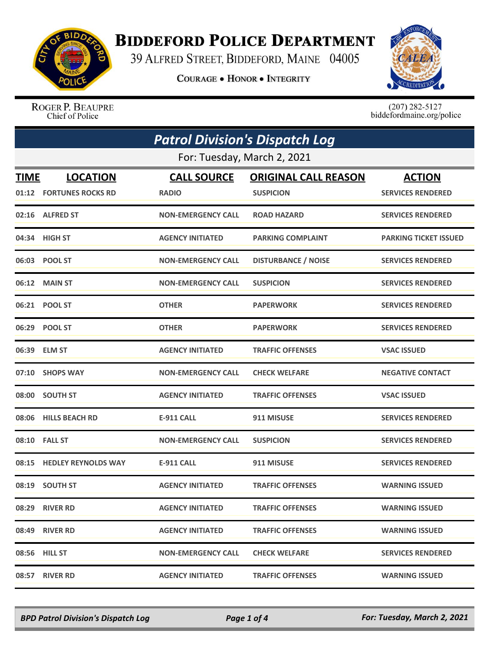

## **BIDDEFORD POLICE DEPARTMENT**

39 ALFRED STREET, BIDDEFORD, MAINE 04005

**COURAGE . HONOR . INTEGRITY** 



ROGER P. BEAUPRE Chief of Police

 $(207)$  282-5127<br>biddefordmaine.org/police

| <b>Patrol Division's Dispatch Log</b> |                             |                           |                             |                              |  |  |
|---------------------------------------|-----------------------------|---------------------------|-----------------------------|------------------------------|--|--|
|                                       | For: Tuesday, March 2, 2021 |                           |                             |                              |  |  |
| <b>TIME</b>                           | <b>LOCATION</b>             | <b>CALL SOURCE</b>        | <b>ORIGINAL CALL REASON</b> | <b>ACTION</b>                |  |  |
|                                       | 01:12 FORTUNES ROCKS RD     | <b>RADIO</b>              | <b>SUSPICION</b>            | <b>SERVICES RENDERED</b>     |  |  |
|                                       | 02:16 ALFRED ST             | <b>NON-EMERGENCY CALL</b> | <b>ROAD HAZARD</b>          | <b>SERVICES RENDERED</b>     |  |  |
|                                       | 04:34 HIGH ST               | <b>AGENCY INITIATED</b>   | <b>PARKING COMPLAINT</b>    | <b>PARKING TICKET ISSUED</b> |  |  |
|                                       | 06:03 POOL ST               | <b>NON-EMERGENCY CALL</b> | <b>DISTURBANCE / NOISE</b>  | <b>SERVICES RENDERED</b>     |  |  |
|                                       | 06:12 MAIN ST               | <b>NON-EMERGENCY CALL</b> | <b>SUSPICION</b>            | <b>SERVICES RENDERED</b>     |  |  |
|                                       | 06:21 POOL ST               | <b>OTHER</b>              | <b>PAPERWORK</b>            | <b>SERVICES RENDERED</b>     |  |  |
|                                       | 06:29 POOL ST               | <b>OTHER</b>              | <b>PAPERWORK</b>            | <b>SERVICES RENDERED</b>     |  |  |
|                                       | 06:39 ELM ST                | <b>AGENCY INITIATED</b>   | <b>TRAFFIC OFFENSES</b>     | <b>VSAC ISSUED</b>           |  |  |
|                                       | 07:10 SHOPS WAY             | <b>NON-EMERGENCY CALL</b> | <b>CHECK WELFARE</b>        | <b>NEGATIVE CONTACT</b>      |  |  |
|                                       | 08:00 SOUTH ST              | <b>AGENCY INITIATED</b>   | <b>TRAFFIC OFFENSES</b>     | <b>VSAC ISSUED</b>           |  |  |
|                                       | 08:06 HILLS BEACH RD        | E-911 CALL                | 911 MISUSE                  | <b>SERVICES RENDERED</b>     |  |  |
| 08:10                                 | <b>FALL ST</b>              | <b>NON-EMERGENCY CALL</b> | <b>SUSPICION</b>            | <b>SERVICES RENDERED</b>     |  |  |
| 08:15                                 | <b>HEDLEY REYNOLDS WAY</b>  | <b>E-911 CALL</b>         | 911 MISUSE                  | <b>SERVICES RENDERED</b>     |  |  |
| 08:19                                 | <b>SOUTH ST</b>             | <b>AGENCY INITIATED</b>   | <b>TRAFFIC OFFENSES</b>     | <b>WARNING ISSUED</b>        |  |  |
|                                       | 08:29 RIVER RD              | <b>AGENCY INITIATED</b>   | <b>TRAFFIC OFFENSES</b>     | <b>WARNING ISSUED</b>        |  |  |
|                                       | 08:49 RIVER RD              | <b>AGENCY INITIATED</b>   | <b>TRAFFIC OFFENSES</b>     | <b>WARNING ISSUED</b>        |  |  |
|                                       | 08:56 HILL ST               | <b>NON-EMERGENCY CALL</b> | <b>CHECK WELFARE</b>        | <b>SERVICES RENDERED</b>     |  |  |
|                                       | 08:57 RIVER RD              | <b>AGENCY INITIATED</b>   | <b>TRAFFIC OFFENSES</b>     | <b>WARNING ISSUED</b>        |  |  |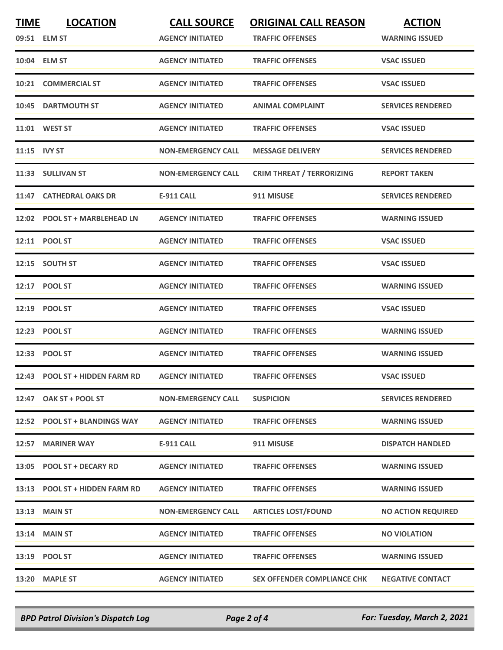| <b>TIME</b>  | <b>LOCATION</b><br>09:51 ELM ST | <b>CALL SOURCE</b><br><b>AGENCY INITIATED</b> | <b>ORIGINAL CALL REASON</b><br><b>TRAFFIC OFFENSES</b> | <b>ACTION</b><br><b>WARNING ISSUED</b> |
|--------------|---------------------------------|-----------------------------------------------|--------------------------------------------------------|----------------------------------------|
|              |                                 |                                               |                                                        |                                        |
|              | 10:04 ELM ST                    | <b>AGENCY INITIATED</b>                       | <b>TRAFFIC OFFENSES</b>                                | <b>VSAC ISSUED</b>                     |
|              | 10:21 COMMERCIAL ST             | <b>AGENCY INITIATED</b>                       | <b>TRAFFIC OFFENSES</b>                                | <b>VSAC ISSUED</b>                     |
|              | 10:45 DARTMOUTH ST              | <b>AGENCY INITIATED</b>                       | <b>ANIMAL COMPLAINT</b>                                | <b>SERVICES RENDERED</b>               |
|              | 11:01 WEST ST                   | <b>AGENCY INITIATED</b>                       | <b>TRAFFIC OFFENSES</b>                                | <b>VSAC ISSUED</b>                     |
| 11:15 IVY ST |                                 | <b>NON-EMERGENCY CALL</b>                     | <b>MESSAGE DELIVERY</b>                                | <b>SERVICES RENDERED</b>               |
|              | 11:33 SULLIVAN ST               | <b>NON-EMERGENCY CALL</b>                     | <b>CRIM THREAT / TERRORIZING</b>                       | <b>REPORT TAKEN</b>                    |
|              | 11:47 CATHEDRAL OAKS DR         | <b>E-911 CALL</b>                             | 911 MISUSE                                             | <b>SERVICES RENDERED</b>               |
|              | 12:02 POOL ST + MARBLEHEAD LN   | <b>AGENCY INITIATED</b>                       | <b>TRAFFIC OFFENSES</b>                                | <b>WARNING ISSUED</b>                  |
|              | 12:11 POOL ST                   | <b>AGENCY INITIATED</b>                       | <b>TRAFFIC OFFENSES</b>                                | <b>VSAC ISSUED</b>                     |
|              | 12:15 SOUTH ST                  | <b>AGENCY INITIATED</b>                       | <b>TRAFFIC OFFENSES</b>                                | <b>VSAC ISSUED</b>                     |
|              | 12:17 POOL ST                   | <b>AGENCY INITIATED</b>                       | <b>TRAFFIC OFFENSES</b>                                | <b>WARNING ISSUED</b>                  |
|              | 12:19 POOL ST                   | <b>AGENCY INITIATED</b>                       | <b>TRAFFIC OFFENSES</b>                                | <b>VSAC ISSUED</b>                     |
| 12:23        | <b>POOL ST</b>                  | <b>AGENCY INITIATED</b>                       | <b>TRAFFIC OFFENSES</b>                                | <b>WARNING ISSUED</b>                  |
|              | 12:33 POOL ST                   | <b>AGENCY INITIATED</b>                       | <b>TRAFFIC OFFENSES</b>                                | <b>WARNING ISSUED</b>                  |
|              | 12:43 POOL ST + HIDDEN FARM RD  | <b>AGENCY INITIATED</b>                       | <b>TRAFFIC OFFENSES</b>                                | <b>VSAC ISSUED</b>                     |
|              | 12:47 OAK ST + POOL ST          | <b>NON-EMERGENCY CALL</b>                     | <b>SUSPICION</b>                                       | <b>SERVICES RENDERED</b>               |
|              | 12:52 POOL ST + BLANDINGS WAY   | <b>AGENCY INITIATED</b>                       | <b>TRAFFIC OFFENSES</b>                                | <b>WARNING ISSUED</b>                  |
|              | 12:57 MARINER WAY               | E-911 CALL                                    | 911 MISUSE                                             | <b>DISPATCH HANDLED</b>                |
|              | 13:05 POOL ST + DECARY RD       | <b>AGENCY INITIATED</b>                       | <b>TRAFFIC OFFENSES</b>                                | <b>WARNING ISSUED</b>                  |
|              | 13:13 POOL ST + HIDDEN FARM RD  | <b>AGENCY INITIATED</b>                       | <b>TRAFFIC OFFENSES</b>                                | <b>WARNING ISSUED</b>                  |
|              | <b>13:13 MAIN ST</b>            | <b>NON-EMERGENCY CALL</b>                     | <b>ARTICLES LOST/FOUND</b>                             | <b>NO ACTION REQUIRED</b>              |
|              | 13:14 MAIN ST                   | <b>AGENCY INITIATED</b>                       | <b>TRAFFIC OFFENSES</b>                                | <b>NO VIOLATION</b>                    |
|              | 13:19 POOL ST                   | <b>AGENCY INITIATED</b>                       | <b>TRAFFIC OFFENSES</b>                                | <b>WARNING ISSUED</b>                  |
|              | 13:20 MAPLE ST                  | <b>AGENCY INITIATED</b>                       | <b>SEX OFFENDER COMPLIANCE CHK</b>                     | <b>NEGATIVE CONTACT</b>                |

*BPD Patrol Division's Dispatch Log Page 2 of 4 For: Tuesday, March 2, 2021*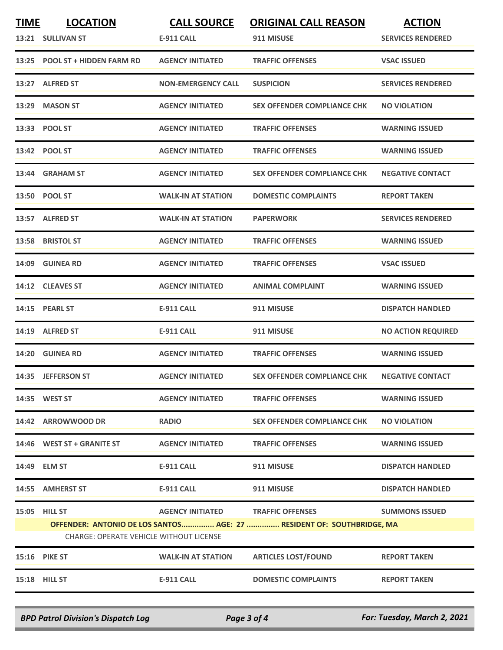| <b>TIME</b>                                                                                                              | <b>LOCATION</b>                 | <b>CALL SOURCE</b>        | <b>ORIGINAL CALL REASON</b>        | <b>ACTION</b>             |
|--------------------------------------------------------------------------------------------------------------------------|---------------------------------|---------------------------|------------------------------------|---------------------------|
|                                                                                                                          | 13:21 SULLIVAN ST               | <b>E-911 CALL</b>         | 911 MISUSE                         | <b>SERVICES RENDERED</b>  |
| 13:25                                                                                                                    | <b>POOL ST + HIDDEN FARM RD</b> | <b>AGENCY INITIATED</b>   | <b>TRAFFIC OFFENSES</b>            | <b>VSAC ISSUED</b>        |
|                                                                                                                          | 13:27 ALFRED ST                 | <b>NON-EMERGENCY CALL</b> | <b>SUSPICION</b>                   | <b>SERVICES RENDERED</b>  |
| 13:29                                                                                                                    | <b>MASON ST</b>                 | <b>AGENCY INITIATED</b>   | <b>SEX OFFENDER COMPLIANCE CHK</b> | <b>NO VIOLATION</b>       |
|                                                                                                                          | 13:33 POOL ST                   | <b>AGENCY INITIATED</b>   | <b>TRAFFIC OFFENSES</b>            | <b>WARNING ISSUED</b>     |
|                                                                                                                          | 13:42 POOL ST                   | <b>AGENCY INITIATED</b>   | <b>TRAFFIC OFFENSES</b>            | <b>WARNING ISSUED</b>     |
| 13:44                                                                                                                    | <b>GRAHAM ST</b>                | <b>AGENCY INITIATED</b>   | SEX OFFENDER COMPLIANCE CHK        | <b>NEGATIVE CONTACT</b>   |
|                                                                                                                          | 13:50 POOL ST                   | <b>WALK-IN AT STATION</b> | <b>DOMESTIC COMPLAINTS</b>         | <b>REPORT TAKEN</b>       |
|                                                                                                                          | 13:57 ALFRED ST                 | <b>WALK-IN AT STATION</b> | <b>PAPERWORK</b>                   | <b>SERVICES RENDERED</b>  |
|                                                                                                                          | 13:58 BRISTOL ST                | <b>AGENCY INITIATED</b>   | <b>TRAFFIC OFFENSES</b>            | <b>WARNING ISSUED</b>     |
| 14:09                                                                                                                    | <b>GUINEA RD</b>                | <b>AGENCY INITIATED</b>   | <b>TRAFFIC OFFENSES</b>            | <b>VSAC ISSUED</b>        |
|                                                                                                                          | 14:12 CLEAVES ST                | <b>AGENCY INITIATED</b>   | <b>ANIMAL COMPLAINT</b>            | <b>WARNING ISSUED</b>     |
|                                                                                                                          | 14:15 PEARL ST                  | <b>E-911 CALL</b>         | 911 MISUSE                         | <b>DISPATCH HANDLED</b>   |
| 14:19                                                                                                                    | <b>ALFRED ST</b>                | <b>E-911 CALL</b>         | 911 MISUSE                         | <b>NO ACTION REQUIRED</b> |
| 14:20                                                                                                                    | <b>GUINEA RD</b>                | <b>AGENCY INITIATED</b>   | <b>TRAFFIC OFFENSES</b>            | <b>WARNING ISSUED</b>     |
|                                                                                                                          | 14:35 JEFFERSON ST              | <b>AGENCY INITIATED</b>   | <b>SEX OFFENDER COMPLIANCE CHK</b> | <b>NEGATIVE CONTACT</b>   |
|                                                                                                                          | 14:35 WEST ST                   | <b>AGENCY INITIATED</b>   | <b>TRAFFIC OFFENSES</b>            | <b>WARNING ISSUED</b>     |
|                                                                                                                          | 14:42 ARROWWOOD DR              | <b>RADIO</b>              | SEX OFFENDER COMPLIANCE CHK        | <b>NO VIOLATION</b>       |
|                                                                                                                          | 14:46 WEST ST + GRANITE ST      | <b>AGENCY INITIATED</b>   | <b>TRAFFIC OFFENSES</b>            | <b>WARNING ISSUED</b>     |
|                                                                                                                          | 14:49 ELM ST                    | E-911 CALL                | 911 MISUSE                         | <b>DISPATCH HANDLED</b>   |
|                                                                                                                          | 14:55 AMHERST ST                | E-911 CALL                | 911 MISUSE                         | <b>DISPATCH HANDLED</b>   |
|                                                                                                                          | 15:05 HILL ST                   | <b>AGENCY INITIATED</b>   | <b>TRAFFIC OFFENSES</b>            | <b>SUMMONS ISSUED</b>     |
| OFFENDER: ANTONIO DE LOS SANTOS  AGE: 27  RESIDENT OF: SOUTHBRIDGE, MA<br><b>CHARGE: OPERATE VEHICLE WITHOUT LICENSE</b> |                                 |                           |                                    |                           |
|                                                                                                                          |                                 |                           |                                    |                           |
|                                                                                                                          | <b>15:16 PIKE ST</b>            | <b>WALK-IN AT STATION</b> | <b>ARTICLES LOST/FOUND</b>         | <b>REPORT TAKEN</b>       |
|                                                                                                                          | 15:18 HILL ST                   | E-911 CALL                | <b>DOMESTIC COMPLAINTS</b>         | <b>REPORT TAKEN</b>       |

*BPD Patrol Division's Dispatch Log Page 3 of 4 For: Tuesday, March 2, 2021*